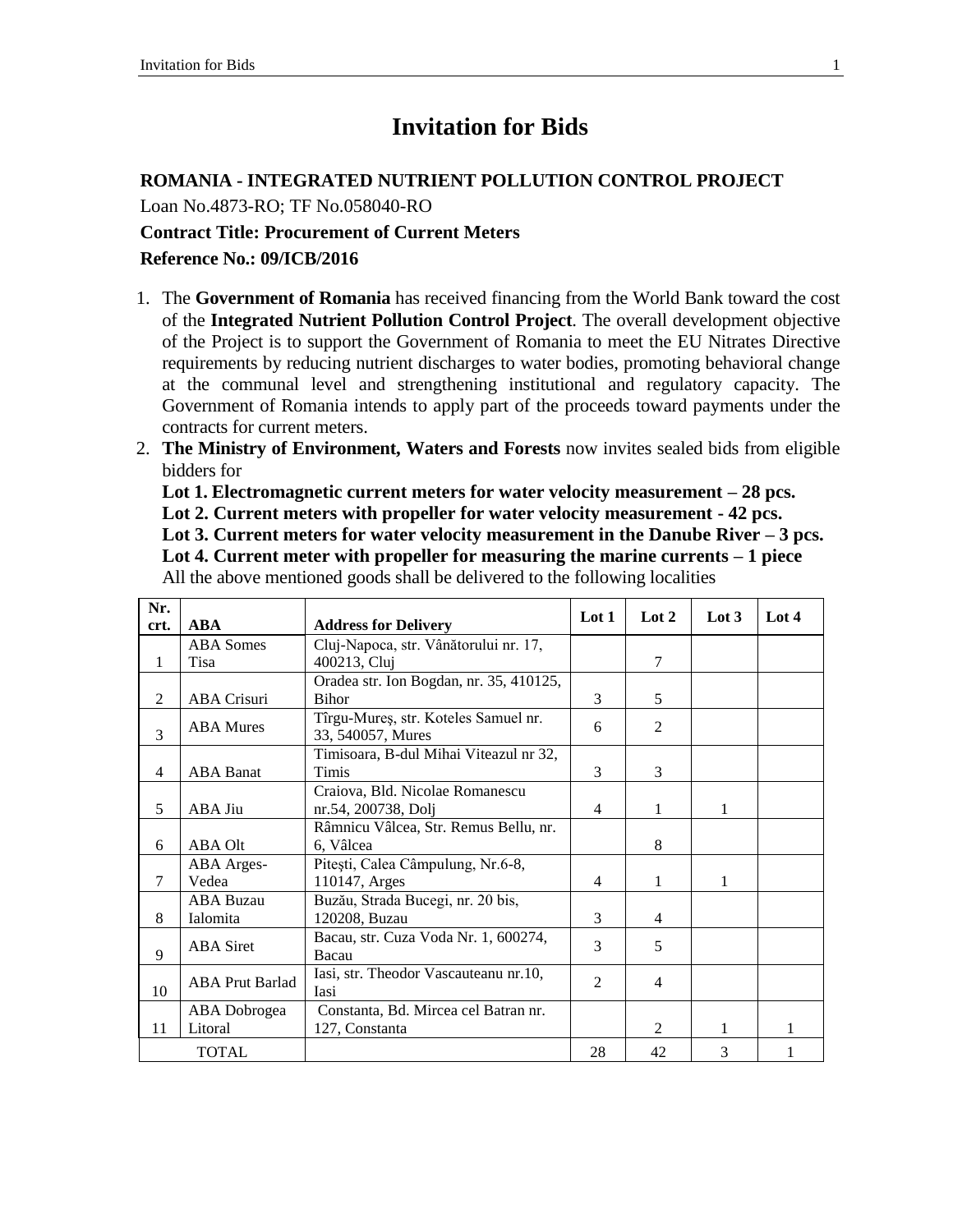## **Invitation for Bids**

#### **ROMANIA - INTEGRATED NUTRIENT POLLUTION CONTROL PROJECT**

Loan No.4873-RO; TF No.058040-RO

# **Contract Title: Procurement of Current Meters**

**Reference No.: 09/ICB/2016**

- 1. The **Government of Romania** has received financing from the World Bank toward the cost of the **Integrated Nutrient Pollution Control Project**. The overall development objective of the Project is to support the Government of Romania to meet the EU Nitrates Directive requirements by reducing nutrient discharges to water bodies, promoting behavioral change at the communal level and strengthening institutional and regulatory capacity. The Government of Romania intends to apply part of the proceeds toward payments under the contracts for current meters.
- 2. **The Ministry of Environment, Waters and Forests** now invites sealed bids from eligible bidders for

**Lot 1. Electromagnetic current meters for water velocity measurement – 28 pcs. Lot 2. Current meters with propeller for water velocity measurement - 42 pcs. Lot 3. Current meters for water velocity measurement in the Danube River – 3 pcs. Lot 4. Current meter with propeller for measuring the marine currents – 1 piece** All the above mentioned goods shall be delivered to the following localities

| Nr.            |                        |                                         | Lot 1          | Lot 2          | Lot $3$ | Lot 4 |
|----------------|------------------------|-----------------------------------------|----------------|----------------|---------|-------|
| crt.           | <b>ABA</b>             | <b>Address for Delivery</b>             |                |                |         |       |
|                | <b>ABA</b> Somes       | Cluj-Napoca, str. Vânătorului nr. 17,   |                |                |         |       |
| 1              | Tisa                   | 400213, Cluj                            |                | 7              |         |       |
|                |                        | Oradea str. Ion Bogdan, nr. 35, 410125, |                |                |         |       |
| 2              | <b>ABA Crisuri</b>     | <b>Bihor</b>                            | 3              | 5              |         |       |
| 3              | <b>ABA</b> Mures       | Tîrgu-Mureş, str. Koteles Samuel nr.    | 6              | $\mathfrak{D}$ |         |       |
|                |                        | 33, 540057, Mures                       |                |                |         |       |
|                |                        | Timisoara, B-dul Mihai Viteazul nr 32,  |                |                |         |       |
| $\overline{4}$ | <b>ABA</b> Banat       | Timis                                   | 3              | 3              |         |       |
|                |                        | Craiova, Bld. Nicolae Romanescu         |                |                |         |       |
| 5              | ABA Jiu                | nr.54, 200738, Dolj                     | 4              | 1              | 1       |       |
|                |                        | Râmnicu Vâlcea, Str. Remus Bellu, nr.   |                |                |         |       |
| 6              | ABA Olt                | 6, Vâlcea                               |                | 8              |         |       |
|                | ABA Arges-             | Pitești, Calea Câmpulung, Nr.6-8,       |                |                |         |       |
| 7              | Vedea                  | 110147, Arges                           | 4              | 1              | 1       |       |
|                | <b>ABA Buzau</b>       | Buzău, Strada Bucegi, nr. 20 bis,       |                |                |         |       |
| 8              | Ialomita               | 120208, Buzau                           | 3              | $\overline{4}$ |         |       |
| $\mathbf{Q}$   | <b>ABA</b> Siret       | Bacau, str. Cuza Voda Nr. 1, 600274,    | 3              | 5              |         |       |
|                |                        | Bacau                                   |                |                |         |       |
| 10             | <b>ABA Prut Barlad</b> | Iasi, str. Theodor Vascauteanu nr.10,   | $\mathfrak{D}$ | $\overline{4}$ |         |       |
|                |                        | Iasi                                    |                |                |         |       |
|                | ABA Dobrogea           | Constanta, Bd. Mircea cel Batran nr.    |                |                |         |       |
| 11             | Litoral                | 127, Constanta                          |                | $\mathfrak{D}$ | 1       |       |
|                | <b>TOTAL</b>           |                                         | 28             | 42             | 3       |       |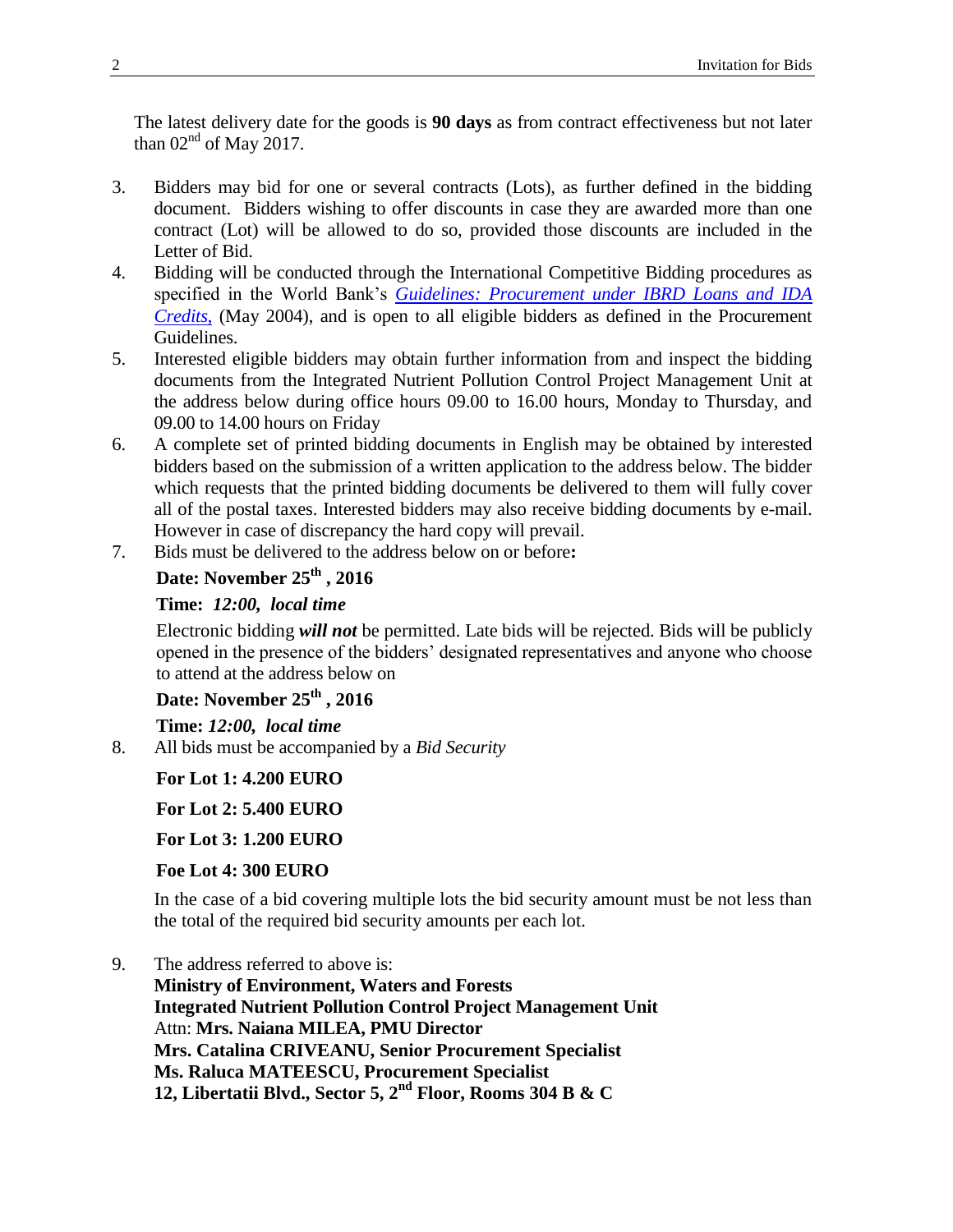The latest delivery date for the goods is **90 days** as from contract effectiveness but not later than  $02<sup>nd</sup>$  of May 2017.

- 3. Bidders may bid for one or several contracts (Lots), as further defined in the bidding document. Bidders wishing to offer discounts in case they are awarded more than one contract (Lot) will be allowed to do so, provided those discounts are included in the Letter of Bid.
- 4. Bidding will be conducted through the International Competitive Bidding procedures as specified in the World Bank's *[Guidelines: Procurement under IBRD Loans and IDA](http://www.worldbank.org/html/opr/procure/guidelin.html)  [Credits](http://www.worldbank.org/html/opr/procure/guidelin.html)*, (May 2004), and is open to all eligible bidders as defined in the Procurement Guidelines.
- 5. Interested eligible bidders may obtain further information from and inspect the bidding documents from the Integrated Nutrient Pollution Control Project Management Unit at the address below during office hours 09.00 to 16.00 hours, Monday to Thursday, and 09.00 to 14.00 hours on Friday
- 6. A complete set of printed bidding documents in English may be obtained by interested bidders based on the submission of a written application to the address below. The bidder which requests that the printed bidding documents be delivered to them will fully cover all of the postal taxes. Interested bidders may also receive bidding documents by e-mail. However in case of discrepancy the hard copy will prevail.
- 7. Bids must be delivered to the address below on or before**:**

## **Date: November 25th , 2016**

### **Time:** *12:00, local time*

Electronic bidding *will not* be permitted. Late bids will be rejected. Bids will be publicly opened in the presence of the bidders' designated representatives and anyone who choose to attend at the address below on

## **Date: November 25th , 2016**

**Time:** *12:00, local time*

8. All bids must be accompanied by a *Bid Security*

**For Lot 1: 4.200 EURO**

**For Lot 2: 5.400 EURO**

**For Lot 3: 1.200 EURO**

## **Foe Lot 4: 300 EURO**

In the case of a bid covering multiple lots the bid security amount must be not less than the total of the required bid security amounts per each lot.

9. The address referred to above is:

**Ministry of Environment, Waters and Forests Integrated Nutrient Pollution Control Project Management Unit** Attn: **Mrs. Naiana MILEA, PMU Director Mrs. Catalina CRIVEANU, Senior Procurement Specialist Ms. Raluca MATEESCU, Procurement Specialist 12, Libertatii Blvd., Sector 5, 2nd Floor, Rooms 304 B & C**